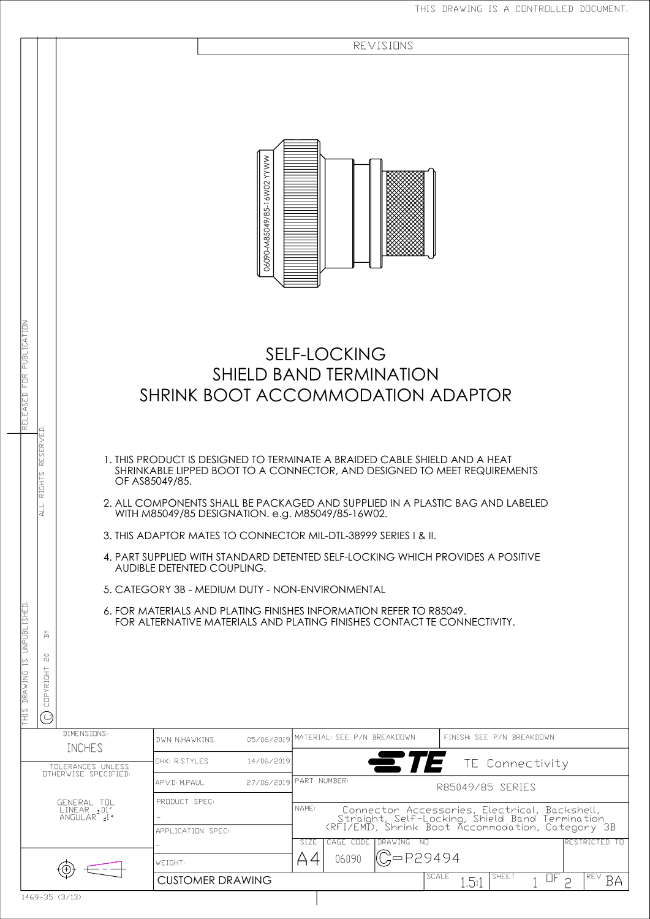|                                                                                                                          |                                 |                                          |       | REVISIONS                           |                                                                                                                                                             |                                                                                                                                                                                                                                                                                                                                                                                                                                                                                                                                                                                                                                                                                                                                                                                                      |  |
|--------------------------------------------------------------------------------------------------------------------------|---------------------------------|------------------------------------------|-------|-------------------------------------|-------------------------------------------------------------------------------------------------------------------------------------------------------------|------------------------------------------------------------------------------------------------------------------------------------------------------------------------------------------------------------------------------------------------------------------------------------------------------------------------------------------------------------------------------------------------------------------------------------------------------------------------------------------------------------------------------------------------------------------------------------------------------------------------------------------------------------------------------------------------------------------------------------------------------------------------------------------------------|--|
|                                                                                                                          | 06090-M85049/85-16W02 YYWW      |                                          |       |                                     |                                                                                                                                                             |                                                                                                                                                                                                                                                                                                                                                                                                                                                                                                                                                                                                                                                                                                                                                                                                      |  |
|                                                                                                                          |                                 |                                          |       |                                     |                                                                                                                                                             |                                                                                                                                                                                                                                                                                                                                                                                                                                                                                                                                                                                                                                                                                                                                                                                                      |  |
|                                                                                                                          |                                 |                                          |       |                                     |                                                                                                                                                             |                                                                                                                                                                                                                                                                                                                                                                                                                                                                                                                                                                                                                                                                                                                                                                                                      |  |
|                                                                                                                          |                                 |                                          |       |                                     |                                                                                                                                                             |                                                                                                                                                                                                                                                                                                                                                                                                                                                                                                                                                                                                                                                                                                                                                                                                      |  |
| <b>DWN: N.HAWKINS</b>                                                                                                    |                                 |                                          |       | FINISH: SEE P/N BREAKDOWN           |                                                                                                                                                             |                                                                                                                                                                                                                                                                                                                                                                                                                                                                                                                                                                                                                                                                                                                                                                                                      |  |
| CHK: R.STYLES                                                                                                            | 14/06/2019                      |                                          |       |                                     | TE Connectivity                                                                                                                                             |                                                                                                                                                                                                                                                                                                                                                                                                                                                                                                                                                                                                                                                                                                                                                                                                      |  |
| APVD: M.PAUL                                                                                                             |                                 |                                          |       |                                     | R85049/85 SERIES                                                                                                                                            |                                                                                                                                                                                                                                                                                                                                                                                                                                                                                                                                                                                                                                                                                                                                                                                                      |  |
| APPLICATION SPEC:                                                                                                        |                                 |                                          |       |                                     |                                                                                                                                                             |                                                                                                                                                                                                                                                                                                                                                                                                                                                                                                                                                                                                                                                                                                                                                                                                      |  |
| WEIGHT:<br><b>CUSTOMER DRAWING</b>                                                                                       |                                 | SIZE<br>Α4                               | 06090 |                                     | SCALE<br><b>SHEET</b><br>1.5:1                                                                                                                              | RESTRICTED TO<br>REV<br>$\overline{CF}$ 2<br><b>BA</b>                                                                                                                                                                                                                                                                                                                                                                                                                                                                                                                                                                                                                                                                                                                                               |  |
| DIMENSIONS:<br>INCHES<br>TOLERANCES UNLESS<br><b>OTHERWISE SPECIFIED:</b><br>GENERAL TOL<br>LINEAR + 01"<br>ANGULAR + 1. | OF AS85049/85.<br>PRODUCT SPEC: | AUDIBLE DETENTED COUPLING.<br>05/06/2019 | NAME: | 27/06/2019 PART NUMBER<br>CAGE CODE | <b>SELF-LOCKING</b><br>WITH M85049/85 DESIGNATION. e.g. M85049/85-16W02.<br>5. CATEGORY 3B - MEDIUM DUTY - NON-ENVIRONMENTAL<br>MATERIAL: SEE P/N BREAKDOWN | SHIELD BAND TERMINATION<br>SHRINK BOOT ACCOMMODATION ADAPTOR<br>1. THIS PRODUCT IS DESIGNED TO TERMINATE A BRAIDED CABLE SHIELD AND A HEAT<br>SHRINKABLE LIPPED BOOT TO A CONNECTOR, AND DESIGNED TO MEET REQUIREMENTS<br>2. ALL COMPONENTS SHALL BE PACKAGED AND SUPPLIED IN A PLASTIC BAG AND LABELED<br>3. THIS ADAPTOR MATES TO CONNECTOR MIL-DTL-38999 SERIES I & II.<br>4. PART SUPPLIED WITH STANDARD DETENTED SELF-LOCKING WHICH PROVIDES A POSITIVE<br>6. FOR MATERIALS AND PLATING FINISHES INFORMATION REFER TO R85049.<br>FOR ALTERNATIVE MATERIALS AND PLATING FINISHES CONTACT TE CONNECTIVITY.<br>Connector Accessories, Electrical, Backshell,<br>Straight, Self-Locking, Shield Band Termination<br>(RFI/EMI), Shrink Boot Accommodation, Category 3B<br>DRAWING NO<br>$C = P29494$ |  |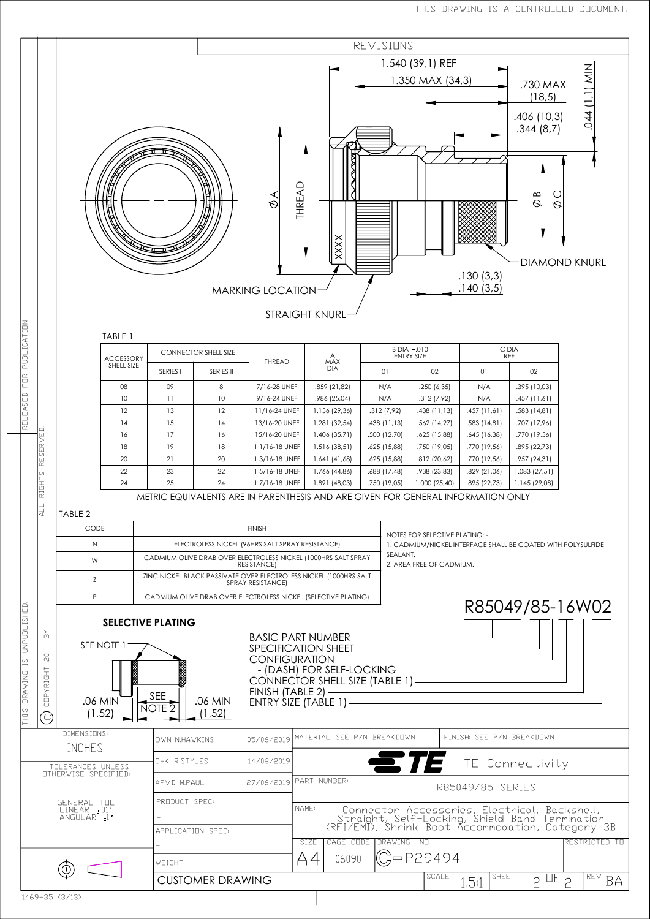